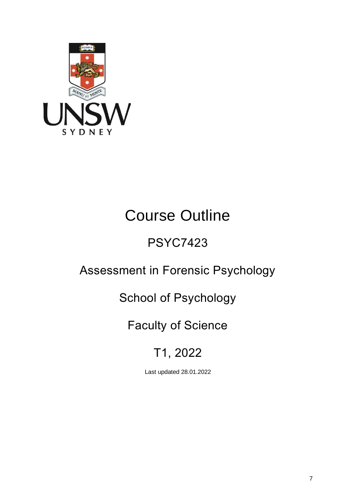

# Course Outline

## PSYC7423

## Assessment in Forensic Psychology

## School of Psychology

## Faculty of Science

## T1, 2022

Last updated 28.01.2022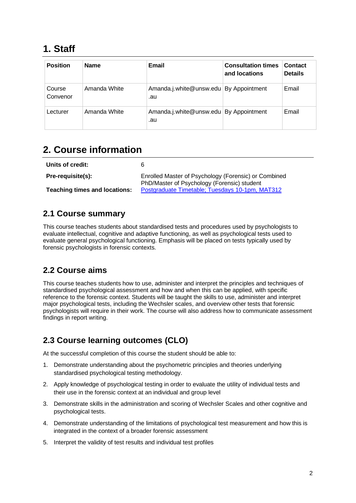### **1. Staff**

| <b>Position</b>    | <b>Name</b>  | Email                                         | <b>Consultation times</b><br>and locations | Contact<br><b>Details</b> |
|--------------------|--------------|-----------------------------------------------|--------------------------------------------|---------------------------|
| Course<br>Convenor | Amanda White | Amanda.j.white@unsw.edu By Appointment<br>.au |                                            | Email                     |
| Lecturer           | Amanda White | Amanda.j.white@unsw.edu By Appointment<br>.au |                                            | Email                     |

## **2. Course information**

| Units of credit:                     |                                                                                                     |
|--------------------------------------|-----------------------------------------------------------------------------------------------------|
| Pre-requisite(s):                    | Enrolled Master of Psychology (Forensic) or Combined<br>PhD/Master of Psychology (Forensic) student |
| <b>Teaching times and locations:</b> | Postgraduate Timetable; Tuesdays 10-1pm, MAT312                                                     |

#### **2.1 Course summary**

This course teaches students about standardised tests and procedures used by psychologists to evaluate intellectual, cognitive and adaptive functioning, as well as psychological tests used to evaluate general psychological functioning. Emphasis will be placed on tests typically used by forensic psychologists in forensic contexts.

#### **2.2 Course aims**

This course teaches students how to use, administer and interpret the principles and techniques of standardised psychological assessment and how and when this can be applied, with specific reference to the forensic context. Students will be taught the skills to use, administer and interpret major psychological tests, including the Wechsler scales, and overview other tests that forensic psychologists will require in their work. The course will also address how to communicate assessment findings in report writing.

#### **2.3 Course learning outcomes (CLO)**

At the successful completion of this course the student should be able to:

- 1. Demonstrate understanding about the psychometric principles and theories underlying standardised psychological testing methodology.
- 2. Apply knowledge of psychological testing in order to evaluate the utility of individual tests and their use in the forensic context at an individual and group level
- 3. Demonstrate skills in the administration and scoring of Wechsler Scales and other cognitive and psychological tests.
- 4. Demonstrate understanding of the limitations of psychological test measurement and how this is integrated in the context of a broader forensic assessment
- 5. Interpret the validity of test results and individual test profiles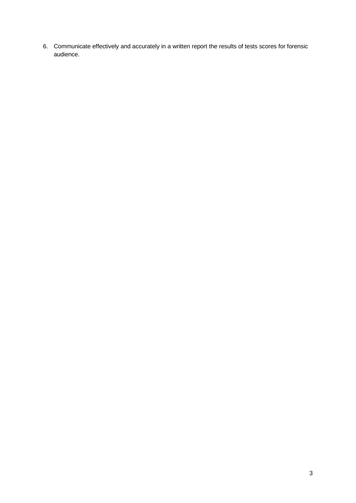6. Communicate effectively and accurately in a written report the results of tests scores for forensic audience.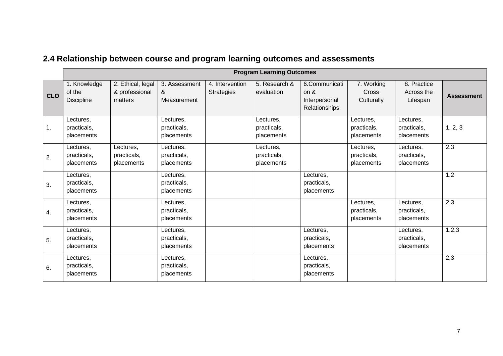| 2.4 Relationship between course and program learning outcomes and assessments |  |
|-------------------------------------------------------------------------------|--|
|-------------------------------------------------------------------------------|--|

|            | <b>Program Learning Outcomes</b>       |                                                |                                        |                                      |                                        |                                                            |                                          |                                        |                   |
|------------|----------------------------------------|------------------------------------------------|----------------------------------------|--------------------------------------|----------------------------------------|------------------------------------------------------------|------------------------------------------|----------------------------------------|-------------------|
| <b>CLO</b> | 1. Knowledge<br>of the<br>Discipline   | 2. Ethical, legal<br>& professional<br>matters | 3. Assessment<br>&<br>Measurement      | 4. Intervention<br><b>Strategies</b> | 5. Research &<br>evaluation            | 6.Communicati<br>on $\&$<br>Interpersonal<br>Relationships | 7. Working<br><b>Cross</b><br>Culturally | 8. Practice<br>Across the<br>Lifespan  | <b>Assessment</b> |
| 1.         | Lectures,<br>practicals,<br>placements |                                                | Lectures,<br>practicals,<br>placements |                                      | Lectures,<br>practicals,<br>placements |                                                            | Lectures,<br>practicals,<br>placements   | Lectures,<br>practicals,<br>placements | 1, 2, 3           |
| 2.         | Lectures,<br>practicals,<br>placements | Lectures,<br>practicals,<br>placements         | Lectures,<br>practicals,<br>placements |                                      | Lectures,<br>practicals,<br>placements |                                                            | Lectures,<br>practicals,<br>placements   | Lectures,<br>practicals,<br>placements | 2,3               |
| 3.         | Lectures,<br>practicals,<br>placements |                                                | Lectures,<br>practicals,<br>placements |                                      |                                        | Lectures,<br>practicals,<br>placements                     |                                          |                                        | 1,2               |
| 4.         | Lectures,<br>practicals,<br>placements |                                                | Lectures,<br>practicals,<br>placements |                                      |                                        |                                                            | Lectures,<br>practicals,<br>placements   | Lectures,<br>practicals,<br>placements | 2,3               |
| 5.         | Lectures,<br>practicals,<br>placements |                                                | Lectures,<br>practicals,<br>placements |                                      |                                        | Lectures,<br>practicals,<br>placements                     |                                          | Lectures,<br>practicals,<br>placements | 1,2,3             |
| 6.         | Lectures,<br>practicals,<br>placements |                                                | Lectures,<br>practicals,<br>placements |                                      |                                        | Lectures,<br>practicals,<br>placements                     |                                          |                                        | 2,3               |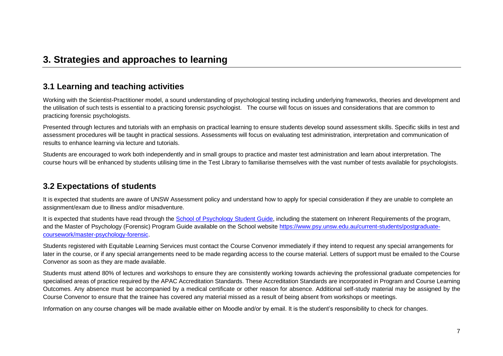#### **3. Strategies and approaches to learning**

#### **3.1 Learning and teaching activities**

Working with the Scientist-Practitioner model, a sound understanding of psychological testing including underlying frameworks, theories and development and the utilisation of such tests is essential to a practicing forensic psychologist. The course will focus on issues and considerations that are common to practicing forensic psychologists.

Presented through lectures and tutorials with an emphasis on practical learning to ensure students develop sound assessment skills. Specific skills in test and assessment procedures will be taught in practical sessions. Assessments will focus on evaluating test administration, interpretation and communication of results to enhance learning via lecture and tutorials.

Students are encouraged to work both independently and in small groups to practice and master test administration and learn about interpretation. The course hours will be enhanced by students utilising time in the Test Library to familiarise themselves with the vast number of tests available for psychologists.

#### **3.2 Expectations of students**

It is expected that students are aware of UNSW Assessment policy and understand how to apply for special consideration if they are unable to complete an assignment/exam due to illness and/or misadventure.

It is expected that students have read through the School of Psychology Student Guide, including the statement on Inherent Requirements of the program, and the Master of Psychology (Forensic) Program Guide available on the School website https://www.psy.unsw.edu.au/current-students/postgraduatecoursework/master-psychology-forensic.

Students registered with Equitable Learning Services must contact the Course Convenor immediately if they intend to request any special arrangements for later in the course, or if any special arrangements need to be made regarding access to the course material. Letters of support must be emailed to the Course Convenor as soon as they are made available.

Students must attend 80% of lectures and workshops to ensure they are consistently working towards achieving the professional graduate competencies for specialised areas of practice required by the APAC Accreditation Standards. These Accreditation Standards are incorporated in Program and Course Learning Outcomes. Any absence must be accompanied by a medical certificate or other reason for absence. Additional self-study material may be assigned by the Course Convenor to ensure that the trainee has covered any material missed as a result of being absent from workshops or meetings.

Information on any course changes will be made available either on Moodle and/or by email. It is the student's responsibility to check for changes.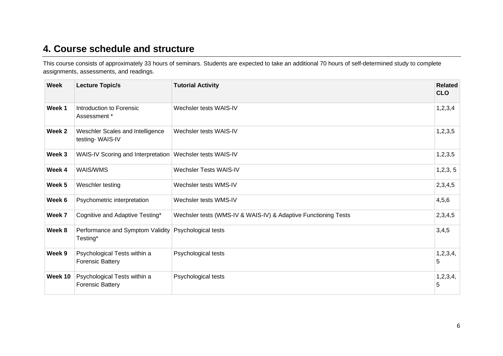### **4. Course schedule and structure**

This course consists of approximately 33 hours of seminars. Students are expected to take an additional 70 hours of self-determined study to complete assignments, assessments, and readings.

| <b>Week</b> | <b>Lecture Topic/s</b>                                  | <b>Tutorial Activity</b>                                       | <b>Related</b><br><b>CLO</b> |
|-------------|---------------------------------------------------------|----------------------------------------------------------------|------------------------------|
| Week 1      | Introduction to Forensic<br>Assessment *                | Wechsler tests WAIS-IV                                         | 1, 2, 3, 4                   |
| Week 2      | Weschler Scales and Intelligence<br>testing-WAIS-IV     | Wechsler tests WAIS-IV                                         | 1, 2, 3, 5                   |
| Week 3      | WAIS-IV Scoring and Interpretation                      | Wechsler tests WAIS-IV                                         | 1, 2, 3, 5                   |
| Week 4      | <b>WAIS/WMS</b>                                         | <b>Wechsler Tests WAIS-IV</b>                                  | 1, 2, 3, 5                   |
| Week 5      | Weschler testing                                        | Wechsler tests WMS-IV                                          | 2,3,4,5                      |
| Week 6      | Psychometric interpretation                             | Wechsler tests WMS-IV                                          | 4,5,6                        |
| Week 7      | Cognitive and Adaptive Testing*                         | Wechsler tests (WMS-IV & WAIS-IV) & Adaptive Functioning Tests | 2,3,4,5                      |
| Week 8      | Performance and Symptom Validity<br>Testing*            | Psychological tests                                            | 3,4,5                        |
| Week 9      | Psychological Tests within a<br><b>Forensic Battery</b> | Psychological tests                                            | 1,2,3,4,<br>5                |
| Week 10     | Psychological Tests within a<br><b>Forensic Battery</b> | Psychological tests                                            | 1, 2, 3, 4,<br>5             |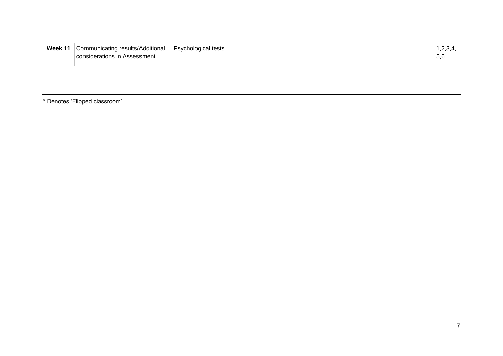| Week 11 | <b>Communicating results/Additional</b><br>considerations in Assessment | Psychological tests | p,c |
|---------|-------------------------------------------------------------------------|---------------------|-----|
|---------|-------------------------------------------------------------------------|---------------------|-----|

\* Denotes 'Flipped classroom'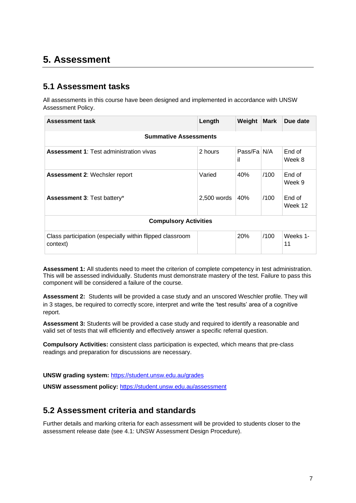### **5. Assessment**

#### **5.1 Assessment tasks**

All assessments in this course have been designed and implemented in accordance with UNSW Assessment Policy.

| <b>Assessment task</b>                                               | Length      | Weight            | <b>Mark</b> | Due date          |  |  |
|----------------------------------------------------------------------|-------------|-------------------|-------------|-------------------|--|--|
| <b>Summative Assessments</b>                                         |             |                   |             |                   |  |  |
| <b>Assessment 1:</b> Test administration vivas                       | 2 hours     | Pass/Fa N/A<br>il |             | End of<br>Week 8  |  |  |
| <b>Assessment 2: Wechsler report</b>                                 | Varied      | 40%               | /100        | End of<br>Week 9  |  |  |
| Assessment 3: Test battery*                                          | 2,500 words | 40%               | /100        | End of<br>Week 12 |  |  |
| <b>Compulsory Activities</b>                                         |             |                   |             |                   |  |  |
| Class participation (especially within flipped classroom<br>context) |             | 20%               | /100        | Weeks 1-<br>11    |  |  |

**Assessment 1:** All students need to meet the criterion of complete competency in test administration. This will be assessed individually. Students must demonstrate mastery of the test. Failure to pass this component will be considered a failure of the course.

**Assessment 2:** Students will be provided a case study and an unscored Weschler profile. They will in 3 stages, be required to correctly score, interpret and write the 'test results' area of a cognitive report.

**Assessment 3:** Students will be provided a case study and required to identify a reasonable and valid set of tests that will efficiently and effectively answer a specific referral question.

**Compulsory Activities:** consistent class participation is expected, which means that pre-class readings and preparation for discussions are necessary.

**UNSW grading system:** [https://student.unsw.edu.au/grades](about:blank)

**UNSW assessment policy:** [https://student.unsw.edu.au/assessment](about:blank)

#### **5.2 Assessment criteria and standards**

Further details and marking criteria for each assessment will be provided to students closer to the assessment release date (see 4.1: UNSW Assessment Design Procedure).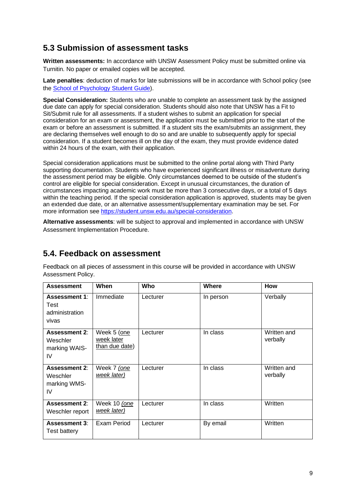#### **5.3 Submission of assessment tasks**

**Written assessments:** In accordance with UNSW Assessment Policy must be submitted online via Turnitin. No paper or emailed copies will be accepted.

**Late penalties**: deduction of marks for late submissions will be in accordance with School policy (see the School of Psychology Student Guide).

**Special Consideration:** Students who are unable to complete an assessment task by the assigned due date can apply for special consideration. Students should also note that UNSW has a Fit to Sit/Submit rule for all assessments. If a student wishes to submit an application for special consideration for an exam or assessment, the application must be submitted prior to the start of the exam or before an assessment is submitted. If a student sits the exam/submits an assignment, they are declaring themselves well enough to do so and are unable to subsequently apply for special consideration. If a student becomes ill on the day of the exam, they must provide evidence dated within 24 hours of the exam, with their application.

Special consideration applications must be submitted to the online portal along with Third Party supporting documentation. Students who have experienced significant illness or misadventure during the assessment period may be eligible. Only circumstances deemed to be outside of the student's control are eligible for special consideration. Except in unusual circumstances, the duration of circumstances impacting academic work must be more than 3 consecutive days, or a total of 5 days within the teaching period. If the special consideration application is approved, students may be given an extended due date, or an alternative assessment/supplementary examination may be set. For more information see https://student.unsw.edu.au/special-consideration.

**Alternative assessments**: will be subject to approval and implemented in accordance with UNSW Assessment Implementation Procedure.

#### **5.4. Feedback on assessment**

Feedback on all pieces of assessment in this course will be provided in accordance with UNSW Assessment Policy.

| <b>Assessment</b>                                       | When                                        | <b>Who</b> | <b>Where</b> | How                     |
|---------------------------------------------------------|---------------------------------------------|------------|--------------|-------------------------|
| <b>Assessment 1:</b><br>Test<br>administration<br>vivas | Immediate                                   | Lecturer   | In person    | Verbally                |
| <b>Assessment 2:</b><br>Weschler<br>marking WAIS-<br>IV | Week 5 (one<br>week later<br>than due date) | Lecturer   | In class     | Written and<br>verbally |
| <b>Assessment 2:</b><br>Weschler<br>marking WMS-<br>IV  | Week 7 (one<br>week later)                  | Lecturer   | In class     | Written and<br>verbally |
| <b>Assessment 2:</b><br>Weschler report                 | Week 10 (one<br>week later)                 | Lecturer   | In class     | Written                 |
| <b>Assessment 3:</b><br>Test battery                    | Exam Period                                 | Lecturer   | By email     | Written                 |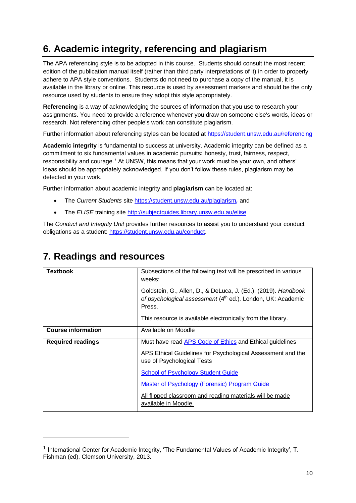## **6. Academic integrity, referencing and plagiarism**

The APA referencing style is to be adopted in this course. Students should consult the most recent edition of the publication manual itself (rather than third party interpretations of it) in order to properly adhere to APA style conventions. Students do not need to purchase a copy of the manual, it is available in the library or online. This resource is used by assessment markers and should be the only resource used by students to ensure they adopt this style appropriately.

**Referencing** is a way of acknowledging the sources of information that you use to research your assignments. You need to provide a reference whenever you draw on someone else's words, ideas or research. Not referencing other people's work can constitute plagiarism.

Further information about referencing styles can be located at [https://student.unsw.edu.au/referencing](about:blank)

**Academic integrity** is fundamental to success at university. Academic integrity can be defined as a commitment to six fundamental values in academic pursuits**:** honesty, trust, fairness, respect, responsibility and courage.*<sup>1</sup>* At UNSW, this means that your work must be your own, and others' ideas should be appropriately acknowledged. If you don't follow these rules, plagiarism may be detected in your work.

Further information about academic integrity and **plagiarism** can be located at:

- The *Current Students* site [https://student.unsw.edu.au/plagiarism](about:blank)*,* and
- The *ELISE* training site [http://subjectguides.library.unsw.edu.au/elise](about:blank)

The *Conduct and Integrity Unit* provides further resources to assist you to understand your conduct obligations as a student: [https://student.unsw.edu.au/conduct.](about:blank)

| <b>Textbook</b>           | Subsections of the following text will be prescribed in various<br>weeks:                                                               |
|---------------------------|-----------------------------------------------------------------------------------------------------------------------------------------|
|                           | Goldstein, G., Allen, D., & DeLuca, J. (Ed.). (2019). Handbook<br>of psychological assessment (4th ed.). London, UK: Academic<br>Press. |
|                           | This resource is available electronically from the library.                                                                             |
| <b>Course information</b> | Available on Moodle                                                                                                                     |
| <b>Required readings</b>  | Must have read APS Code of Ethics and Ethical guidelines                                                                                |
|                           | APS Ethical Guidelines for Psychological Assessment and the<br>use of Psychological Tests                                               |
|                           | <b>School of Psychology Student Guide</b>                                                                                               |
|                           | <b>Master of Psychology (Forensic) Program Guide</b>                                                                                    |
|                           | All flipped classroom and reading materials will be made<br>available in Moodle.                                                        |

### **7. Readings and resources**

<sup>&</sup>lt;sup>1</sup> International Center for Academic Integrity, 'The Fundamental Values of Academic Integrity', T. Fishman (ed), Clemson University, 2013.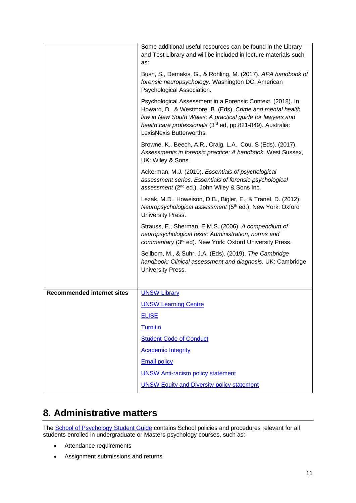|                                   | Some additional useful resources can be found in the Library                                                                                                                                                                                                                   |
|-----------------------------------|--------------------------------------------------------------------------------------------------------------------------------------------------------------------------------------------------------------------------------------------------------------------------------|
|                                   | and Test Library and will be included in lecture materials such                                                                                                                                                                                                                |
|                                   | as:                                                                                                                                                                                                                                                                            |
|                                   | Bush, S., Demakis, G., & Rohling, M. (2017). APA handbook of<br>forensic neuropsychology. Washington DC: American                                                                                                                                                              |
|                                   | Psychological Association.                                                                                                                                                                                                                                                     |
|                                   | Psychological Assessment in a Forensic Context. (2018). In<br>Howard, D., & Westmore, B. (Eds), Crime and mental health<br>law in New South Wales: A practical guide for lawyers and<br>health care professionals (3rd ed, pp.821-849). Australia:<br>LexisNexis Butterworths. |
|                                   | Browne, K., Beech, A.R., Craig, L.A., Cou, S (Eds). (2017).<br>Assessments in forensic practice: A handbook. West Sussex,<br>UK: Wiley & Sons.                                                                                                                                 |
|                                   | Ackerman, M.J. (2010). Essentials of psychological<br>assessment series. Essentials of forensic psychological<br>assessment (2 <sup>nd</sup> ed.). John Wiley & Sons Inc.                                                                                                      |
|                                   | Lezak, M.D., Howeison, D.B., Bigler, E., & Tranel, D. (2012).<br>Neuropsychological assessment (5 <sup>th</sup> ed.). New York: Oxford<br>University Press.                                                                                                                    |
|                                   | Strauss, E., Sherman, E.M.S. (2006). A compendium of<br>neuropsychological tests: Administration, norms and<br>commentary (3rd ed). New York: Oxford University Press.                                                                                                         |
|                                   | Sellbom, M., & Suhr, J.A. (Eds). (2019). The Cambridge<br>handbook: Clinical assessment and diagnosis. UK: Cambridge<br>University Press.                                                                                                                                      |
|                                   |                                                                                                                                                                                                                                                                                |
| <b>Recommended internet sites</b> | <b>UNSW Library</b>                                                                                                                                                                                                                                                            |
|                                   | <b>UNSW Learning Centre</b>                                                                                                                                                                                                                                                    |
|                                   | <b>ELISE</b>                                                                                                                                                                                                                                                                   |
|                                   | Turnitin                                                                                                                                                                                                                                                                       |
|                                   | <b>Student Code of Conduct</b>                                                                                                                                                                                                                                                 |
|                                   | <b>Academic Integrity</b>                                                                                                                                                                                                                                                      |
|                                   | <b>Email policy</b>                                                                                                                                                                                                                                                            |
|                                   | <b>UNSW Anti-racism policy statement</b>                                                                                                                                                                                                                                       |
|                                   | <b>UNSW Equity and Diversity policy statement</b>                                                                                                                                                                                                                              |

## **8. Administrative matters**

The [School of Psychology Student Guide](about:blank) contains School policies and procedures relevant for all students enrolled in undergraduate or Masters psychology courses, such as:

- Attendance requirements
- Assignment submissions and returns